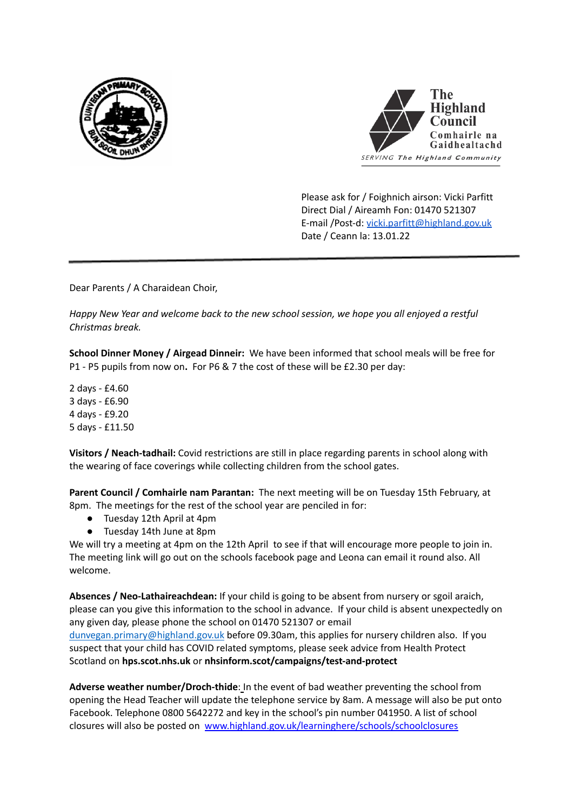



Please ask for / Foighnich airson: Vicki Parfitt Direct Dial / Aireamh Fon: 01470 521307 E-mail /Post-d: [vicki.parfitt@highland.gov.uk](mailto:vicki.parfitt@highland.gov.uk) Date / Ceann la: 13.01.22

Dear Parents / A Charaidean Choir,

*Happy New Year and welcome back to the new school session, we hope you all enjoyed a restful Christmas break.*

**School Dinner Money / Airgead Dinneir:** We have been informed that school meals will be free for P1 - P5 pupils from now on**.** For P6 & 7 the cost of these will be £2.30 per day:

 days - £4.60 days - £6.90 days - £9.20 days - £11.50

**Visitors / Neach-tadhail:** Covid restrictions are still in place regarding parents in school along with the wearing of face coverings while collecting children from the school gates.

**Parent Council / Comhairle nam Parantan:** The next meeting will be on Tuesday 15th February, at 8pm. The meetings for the rest of the school year are penciled in for:

- Tuesday 12th April at 4pm
- Tuesday 14th June at 8pm

We will try a meeting at 4pm on the 12th April to see if that will encourage more people to join in. The meeting link will go out on the schools facebook page and Leona can email it round also. All welcome.

**Absences / Neo-Lathaireachdean:** If your child is going to be absent from nursery or sgoil araich, please can you give this information to the school in advance. If your child is absent unexpectedly on any given day, please phone the school on 01470 521307 or email [dunvegan.primary@highland.gov.uk](mailto:dunvegan.primary@highland.gov.uk) before 09.30am, this applies for nursery children also. If you suspect that your child has COVID related symptoms, please seek advice from Health Protect Scotland on **hps.scot.nhs.uk** or **nhsinform.scot/campaigns/test-and-protect**

**Adverse weather number/Droch-thide**: In the event of bad weather preventing the school from opening the Head Teacher will update the telephone service by 8am. A message will also be put onto Facebook. Telephone 0800 5642272 and key in the school's pin number 041950. A list of school closures will also be posted on www.highland.gov.uk/learninghere/schools/schoolclosures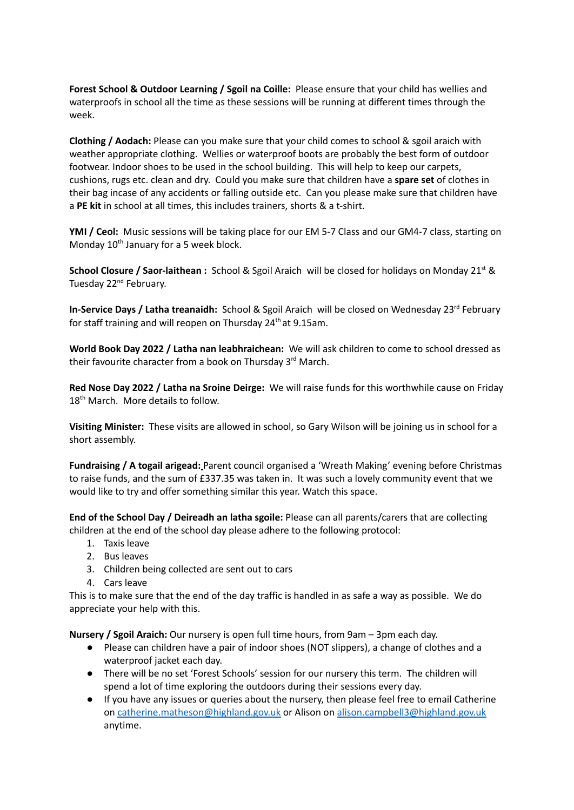**Forest School & Outdoor Learning / Sgoil na Coille:** Please ensure that your child has wellies and waterproofs in school all the time as these sessions will be running at different times through the week.

**Clothing / Aodach:** Please can you make sure that your child comes to school & sgoil araich with weather appropriate clothing. Wellies or waterproof boots are probably the best form of outdoor footwear. Indoor shoes to be used in the school building. This will help to keep our carpets, cushions, rugs etc. clean and dry. Could you make sure that children have a **spare set** of clothes in their bag incase of any accidents or falling outside etc. Can you please make sure that children have a **PE kit** in school at all times, this includes trainers, shorts & a t-shirt.

**YMI / Ceol:** Music sessions will be taking place for our EM 5-7 Class and our GM4-7 class, starting on Monday 10<sup>th</sup> January for a 5 week block.

**School Closure / Saor-laithean :** School & Sgoil Araich will be closed for holidays on Monday 21 st & Tuesday 22<sup>nd</sup> February.

In-Service Days / Latha treanaidh: School & Sgoil Araich will be closed on Wednesday 23<sup>rd</sup> February for staff training and will reopen on Thursday 24<sup>th</sup> at 9.15am.

**World Book Day 2022 / Latha nan leabhraichean:** We will ask children to come to school dressed as their favourite character from a book on Thursday 3<sup>rd</sup> March.

**Red Nose Day 2022 / Latha na Sroine Deirge:** We will raise funds for this worthwhile cause on Friday 18<sup>th</sup> March. More details to follow.

**Visiting Minister:** These visits are allowed in school, so Gary Wilson will be joining us in school for a short assembly.

**Fundraising / A togail arigead:** Parent council organised a 'Wreath Making' evening before Christmas to raise funds, and the sum of £337.35 was taken in. It was such a lovely community event that we would like to try and offer something similar this year. Watch this space.

**End of the School Day / Deireadh an latha sgoile:** Please can all parents/carers that are collecting children at the end of the school day please adhere to the following protocol:

- 1. Taxis leave
- 2. Bus leaves
- 3. Children being collected are sent out to cars
- 4. Cars leave

This is to make sure that the end of the day traffic is handled in as safe a way as possible. We do appreciate your help with this.

**Nursery / Sgoil Araich:** Our nursery is open full time hours, from 9am – 3pm each day.

- Please can children have a pair of indoor shoes (NOT slippers), a change of clothes and a waterproof jacket each day.
- There will be no set 'Forest Schools' session for our nursery this term. The children will spend a lot of time exploring the outdoors during their sessions every day.
- If you have any issues or queries about the nursery, then please feel free to email Catherine on [catherine.matheson@highland.gov.uk](mailto:catherine.matheson@highland.gov.uk) or Alison on [alison.campbell3@highland.gov.uk](mailto:alison.campbell3@highland.gov.uk) anytime.